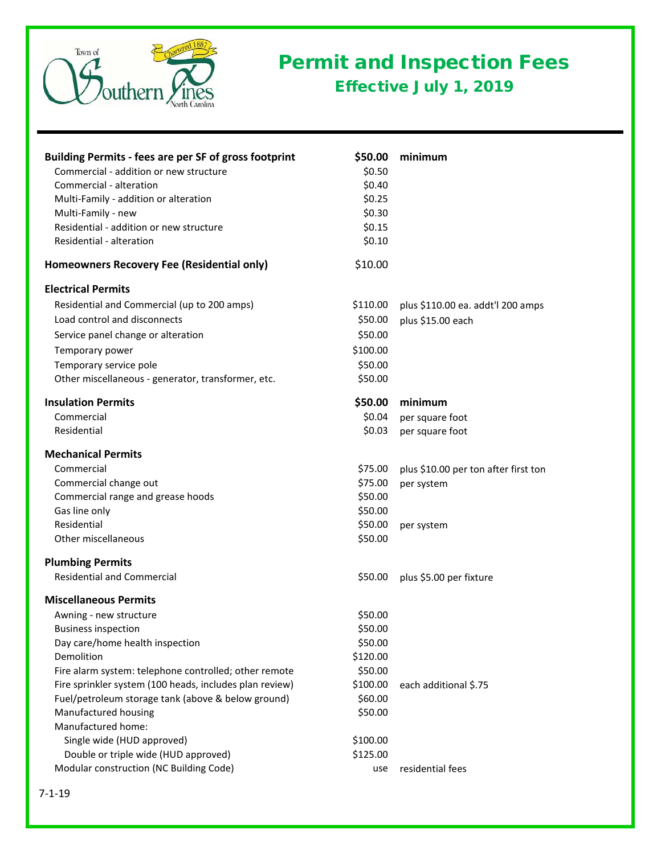

## Permit and Inspection Fees Effective July 1, 2019

| <b>Building Permits - fees are per SF of gross footprint</b> | \$50.00  | minimum                              |
|--------------------------------------------------------------|----------|--------------------------------------|
| Commercial - addition or new structure                       | \$0.50   |                                      |
| Commercial - alteration                                      | \$0.40   |                                      |
| Multi-Family - addition or alteration                        | \$0.25   |                                      |
| Multi-Family - new                                           | \$0.30   |                                      |
| Residential - addition or new structure                      | \$0.15   |                                      |
| Residential - alteration                                     | \$0.10   |                                      |
| Homeowners Recovery Fee (Residential only)                   | \$10.00  |                                      |
| <b>Electrical Permits</b>                                    |          |                                      |
| Residential and Commercial (up to 200 amps)                  | \$110.00 | plus \$110.00 ea. addt'l 200 amps    |
| Load control and disconnects                                 | \$50.00  | plus \$15.00 each                    |
| Service panel change or alteration                           | \$50.00  |                                      |
| Temporary power                                              | \$100.00 |                                      |
| Temporary service pole                                       | \$50.00  |                                      |
| Other miscellaneous - generator, transformer, etc.           | \$50.00  |                                      |
| <b>Insulation Permits</b>                                    | \$50.00  | minimum                              |
| Commercial                                                   | \$0.04   | per square foot                      |
| Residential                                                  | \$0.03   | per square foot                      |
| <b>Mechanical Permits</b>                                    |          |                                      |
| Commercial                                                   | \$75.00  | plus \$10.00 per ton after first ton |
| Commercial change out                                        | \$75.00  | per system                           |
| Commercial range and grease hoods                            | \$50.00  |                                      |
| Gas line only                                                | \$50.00  |                                      |
| Residential                                                  | \$50.00  | per system                           |
| Other miscellaneous                                          | \$50.00  |                                      |
| <b>Plumbing Permits</b>                                      |          |                                      |
| <b>Residential and Commercial</b>                            | \$50.00  | plus \$5.00 per fixture              |
| <b>Miscellaneous Permits</b>                                 |          |                                      |
| Awning - new structure                                       | \$50.00  |                                      |
| <b>Business inspection</b>                                   | \$50.00  |                                      |
| Day care/home health inspection                              | \$50.00  |                                      |
| Demolition                                                   | \$120.00 |                                      |
| Fire alarm system: telephone controlled; other remote        | \$50.00  |                                      |
| Fire sprinkler system (100 heads, includes plan review)      | \$100.00 | each additional \$.75                |
| Fuel/petroleum storage tank (above & below ground)           | \$60.00  |                                      |
| Manufactured housing                                         | \$50.00  |                                      |
| Manufactured home:                                           |          |                                      |
| Single wide (HUD approved)                                   | \$100.00 |                                      |
| Double or triple wide (HUD approved)                         | \$125.00 |                                      |
| Modular construction (NC Building Code)                      | use      | residential fees                     |